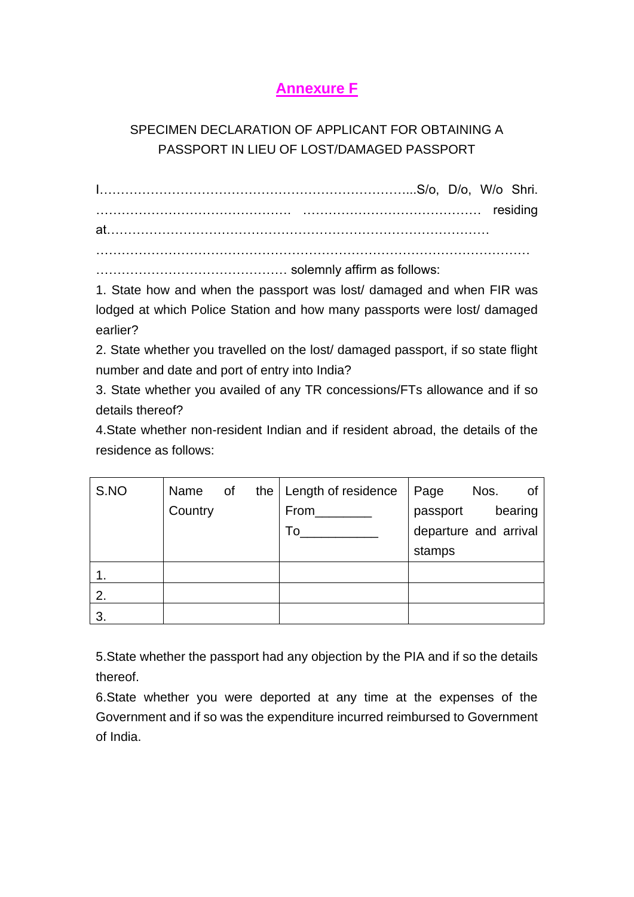## **Annexure F**

## SPECIMEN DECLARATION OF APPLICANT FOR OBTAINING A PASSPORT IN LIEU OF LOST/DAMAGED PASSPORT

I………………………………………………………………...S/o, D/o, W/o Shri. ………………………………………. …………………………………… residing at……………………………………………………………………………… …………………………………………………………………………………………

……………………………………… solemnly affirm as follows:

1. State how and when the passport was lost/ damaged and when FIR was lodged at which Police Station and how many passports were lost/ damaged earlier?

2. State whether you travelled on the lost/ damaged passport, if so state flight number and date and port of entry into India?

3. State whether you availed of any TR concessions/FTs allowance and if so details thereof?

4.State whether non-resident Indian and if resident abroad, the details of the residence as follows:

| S.NO | Name of |  | the   Length of residence | ∣ Page<br>Nos.<br>0f  |
|------|---------|--|---------------------------|-----------------------|
|      | Country |  | From                      | passport<br>bearing   |
|      |         |  | To                        | departure and arrival |
|      |         |  |                           | stamps                |
|      |         |  |                           |                       |
| 2.   |         |  |                           |                       |
| 3.   |         |  |                           |                       |

5.State whether the passport had any objection by the PIA and if so the details thereof.

6.State whether you were deported at any time at the expenses of the Government and if so was the expenditure incurred reimbursed to Government of India.